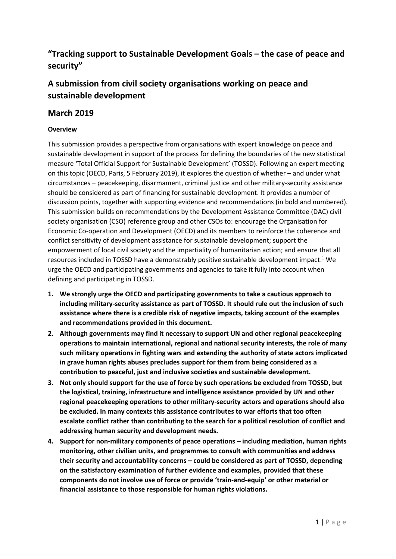# **"Tracking support to Sustainable Development Goals – the case of peace and security"**

# **A submission from civil society organisations working on peace and sustainable development**

### **March 2019**

### **Overview**

This submission provides a perspective from organisations with expert knowledge on peace and sustainable development in support of the process for defining the boundaries of the new statistical measure 'Total Official Support for Sustainable Development' (TOSSD). Following an expert meeting on this topic (OECD, Paris, 5 February 2019), it explores the question of whether – and under what circumstances – peacekeeping, disarmament, criminal justice and other military-security assistance should be considered as part of financing for sustainable development. It provides a number of discussion points, together with supporting evidence and recommendations (in bold and numbered). This submission builds on recommendations by the Development Assistance Committee (DAC) civil society organisation (CSO) reference group and other CSOs to: encourage the Organisation for Economic Co-operation and Development (OECD) and its members to reinforce the coherence and conflict sensitivity of development assistance for sustainable development; support the empowerment of local civil society and the impartiality of humanitarian action; and ensure that all resources included in TOSSD have a demonstrably positive sustainable development impact.<sup>1</sup> We urge the OECD and participating governments and agencies to take it fully into account when defining and participating in TOSSD.

- **1. We strongly urge the OECD and participating governments to take a cautious approach to including military-security assistance as part of TOSSD. It should rule out the inclusion of such assistance where there is a credible risk of negative impacts, taking account of the examples and recommendations provided in this document.**
- **2. Although governments may find it necessary to support UN and other regional peacekeeping operations to maintain international, regional and national security interests, the role of many such military operations in fighting wars and extending the authority of state actors implicated in grave human rights abuses precludes support for them from being considered as a contribution to peaceful, just and inclusive societies and sustainable development.**
- **3. Not only should support for the use of force by such operations be excluded from TOSSD, but the logistical, training, infrastructure and intelligence assistance provided by UN and other regional peacekeeping operations to other military-security actors and operations should also be excluded. In many contexts this assistance contributes to war efforts that too often escalate conflict rather than contributing to the search for a political resolution of conflict and addressing human security and development needs.**
- **4. Support for non-military components of peace operations – including mediation, human rights monitoring, other civilian units, and programmes to consult with communities and address their security and accountability concerns – could be considered as part of TOSSD, depending on the satisfactory examination of further evidence and examples, provided that these components do not involve use of force or provide 'train-and-equip' or other material or financial assistance to those responsible for human rights violations.**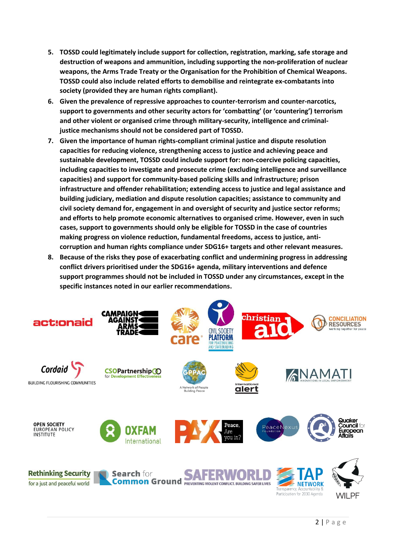- **5. TOSSD could legitimately include support for collection, registration, marking, safe storage and destruction of weapons and ammunition, including supporting the non-proliferation of nuclear weapons, the Arms Trade Treaty or the Organisation for the Prohibition of Chemical Weapons. TOSSD could also include related efforts to demobilise and reintegrate ex-combatants into society (provided they are human rights compliant).**
- **6. Given the prevalence of repressive approaches to counter-terrorism and counter-narcotics, support to governments and other security actors for 'combatting' (or 'countering') terrorism and other violent or organised crime through military-security, intelligence and criminaljustice mechanisms should not be considered part of TOSSD.**
- **7. Given the importance of human rights-compliant criminal justice and dispute resolution capacities for reducing violence, strengthening access to justice and achieving peace and sustainable development, TOSSD could include support for: non-coercive policing capacities, including capacities to investigate and prosecute crime (excluding intelligence and surveillance capacities) and support for community-based policing skills and infrastructure; prison infrastructure and offender rehabilitation; extending access to justice and legal assistance and building judiciary, mediation and dispute resolution capacities; assistance to community and civil society demand for, engagement in and oversight of security and justice sector reforms; and efforts to help promote economic alternatives to organised crime. However, even in such cases, support to governments should only be eligible for TOSSD in the case of countries making progress on violence reduction, fundamental freedoms, access to justice, anticorruption and human rights compliance under SDG16+ targets and other relevant measures.**
- **8. Because of the risks they pose of exacerbating conflict and undermining progress in addressing conflict drivers prioritised under the SDG16+ agenda, military interventions and defence support programmes should not be included in TOSSD under any circumstances, except in the specific instances noted in our earlier recommendations.**

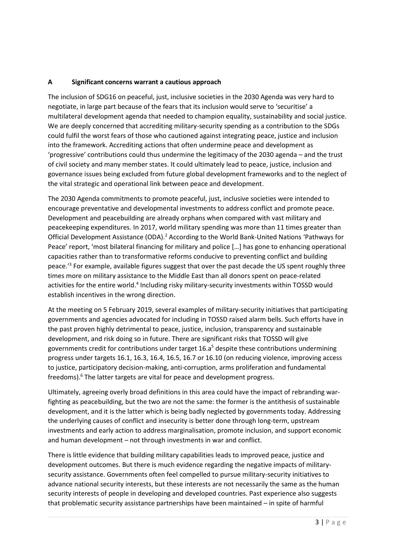#### **A Significant concerns warrant a cautious approach**

The inclusion of SDG16 on peaceful, just, inclusive societies in the 2030 Agenda was very hard to negotiate, in large part because of the fears that its inclusion would serve to 'securitise' a multilateral development agenda that needed to champion equality, sustainability and social justice. We are deeply concerned that accrediting military-security spending as a contribution to the SDGs could fulfil the worst fears of those who cautioned against integrating peace, justice and inclusion into the framework. Accrediting actions that often undermine peace and development as 'progressive' contributions could thus undermine the legitimacy of the 2030 agenda – and the trust of civil society and many member states. It could ultimately lead to peace, justice, inclusion and governance issues being excluded from future global development frameworks and to the neglect of the vital strategic and operational link between peace and development.

The 2030 Agenda commitments to promote peaceful, just, inclusive societies were intended to encourage preventative and developmental investments to address conflict and promote peace. Development and peacebuilding are already orphans when compared with vast military and peacekeeping expenditures. In 2017, world military spending was more than 11 times greater than Official Development Assistance (ODA).<sup>2</sup> According to the World Bank-United Nations 'Pathways for Peace' report, 'most bilateral financing for military and police […] has gone to enhancing operational capacities rather than to transformative reforms conducive to preventing conflict and building peace.<sup>'3</sup> For example, available figures suggest that over the past decade the US spent roughly three times more on military assistance to the Middle East than all donors spent on peace-related activities for the entire world.<sup>4</sup> Including risky military-security investments within TOSSD would establish incentives in the wrong direction.

At the meeting on 5 February 2019, several examples of military-security initiatives that participating governments and agencies advocated for including in TOSSD raised alarm bells. Such efforts have in the past proven highly detrimental to peace, justice, inclusion, transparency and sustainable development, and risk doing so in future. There are significant risks that TOSSD will give governments credit for contributions under target  $16. a<sup>5</sup>$  despite these contributions undermining progress under targets 16.1, 16.3, 16.4, 16.5, 16.7 or 16.10 (on reducing violence, improving access to justice, participatory decision-making, anti-corruption, arms proliferation and fundamental freedoms). <sup>6</sup> The latter targets are vital for peace and development progress.

Ultimately, agreeing overly broad definitions in this area could have the impact of rebranding warfighting as peacebuilding, but the two are not the same: the former is the antithesis of sustainable development, and it is the latter which is being badly neglected by governments today. Addressing the underlying causes of conflict and insecurity is better done through long-term, upstream investments and early action to address marginalisation, promote inclusion, and support economic and human development – not through investments in war and conflict.

There is little evidence that building military capabilities leads to improved peace, justice and development outcomes. But there is much evidence regarding the negative impacts of militarysecurity assistance. Governments often feel compelled to pursue military-security initiatives to advance national security interests, but these interests are not necessarily the same as the human security interests of people in developing and developed countries. Past experience also suggests that problematic security assistance partnerships have been maintained – in spite of harmful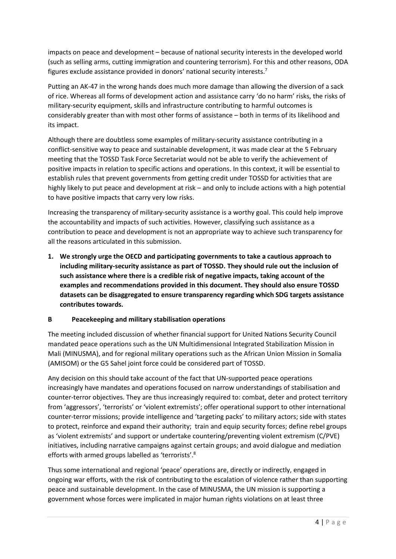impacts on peace and development – because of national security interests in the developed world (such as selling arms, cutting immigration and countering terrorism). For this and other reasons, ODA figures exclude assistance provided in donors' national security interests.<sup>7</sup>

Putting an AK-47 in the wrong hands does much more damage than allowing the diversion of a sack of rice. Whereas all forms of development action and assistance carry 'do no harm' risks, the risks of military-security equipment, skills and infrastructure contributing to harmful outcomes is considerably greater than with most other forms of assistance – both in terms of its likelihood and its impact.

Although there are doubtless some examples of military-security assistance contributing in a conflict-sensitive way to peace and sustainable development, it was made clear at the 5 February meeting that the TOSSD Task Force Secretariat would not be able to verify the achievement of positive impacts in relation to specific actions and operations. In this context, it will be essential to establish rules that prevent governments from getting credit under TOSSD for activities that are highly likely to put peace and development at risk – and only to include actions with a high potential to have positive impacts that carry very low risks.

Increasing the transparency of military-security assistance is a worthy goal. This could help improve the accountability and impacts of such activities. However, classifying such assistance as a contribution to peace and development is not an appropriate way to achieve such transparency for all the reasons articulated in this submission.

**1. We strongly urge the OECD and participating governments to take a cautious approach to including military-security assistance as part of TOSSD. They should rule out the inclusion of such assistance where there is a credible risk of negative impacts, taking account of the examples and recommendations provided in this document. They should also ensure TOSSD datasets can be disaggregated to ensure transparency regarding which SDG targets assistance contributes towards.** 

#### **B Peacekeeping and military stabilisation operations**

The meeting included discussion of whether financial support for United Nations Security Council mandated peace operations such as the UN Multidimensional Integrated Stabilization Mission in Mali (MINUSMA), and for regional military operations such as the African Union Mission in Somalia (AMISOM) or the G5 Sahel joint force could be considered part of TOSSD.

Any decision on this should take account of the fact that UN-supported peace operations increasingly have mandates and operations focused on narrow understandings of stabilisation and counter-terror objectives. They are thus increasingly required to: combat, deter and protect territory from 'aggressors', 'terrorists' or 'violent extremists'; offer operational support to other international counter-terror missions; provide intelligence and 'targeting packs' to military actors; side with states to protect, reinforce and expand their authority; train and equip security forces; define rebel groups as 'violent extremists' and support or undertake countering/preventing violent extremism (C/PVE) initiatives, including narrative campaigns against certain groups; and avoid dialogue and mediation efforts with armed groups labelled as 'terrorists'.<sup>8</sup>

Thus some international and regional 'peace' operations are, directly or indirectly, engaged in ongoing war efforts, with the risk of contributing to the escalation of violence rather than supporting peace and sustainable development. In the case of MINUSMA, the UN mission is supporting a government whose forces were implicated in major human rights violations on at least three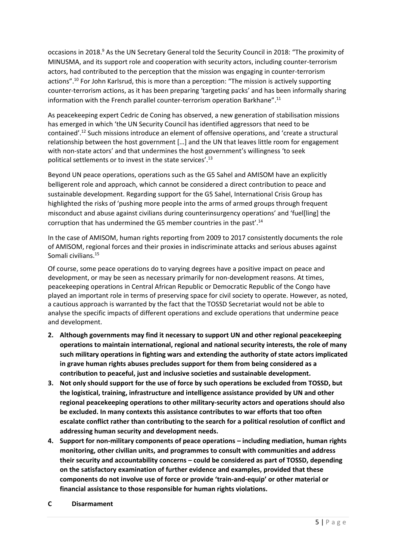occasions in 2018.<sup>9</sup> As the UN Secretary General told the Security Council in 2018: "The proximity of MINUSMA, and its support role and cooperation with security actors, including counter-terrorism actors, had contributed to the perception that the mission was engaging in counter-terrorism actions". <sup>10</sup> For John Karlsrud, this is more than a perception: "The mission is actively supporting counter-terrorism actions, as it has been preparing 'targeting packs' and has been informally sharing information with the French parallel counter-terrorism operation Barkhane".<sup>11</sup>

As peacekeeping expert Cedric de Coning has observed, a new generation of stabilisation missions has emerged in which 'the UN Security Council has identified aggressors that need to be contained'.<sup>12</sup> Such missions introduce an element of offensive operations, and 'create a structural relationship between the host government […] and the UN that leaves little room for engagement with non-state actors' and that undermines the host government's willingness 'to seek political settlements or to invest in the state services'.<sup>13</sup>

Beyond UN peace operations, operations such as the G5 Sahel and AMISOM have an explicitly belligerent role and approach, which cannot be considered a direct contribution to peace and sustainable development. Regarding support for the G5 Sahel, International Crisis Group has highlighted the risks of 'pushing more people into the arms of armed groups through frequent misconduct and abuse against civilians during counterinsurgency operations' and 'fuel[ling] the corruption that has undermined the G5 member countries in the past'.<sup>14</sup>

In the case of AMISOM, human rights reporting from 2009 to 2017 consistently documents the role of AMISOM, regional forces and their proxies in indiscriminate attacks and serious abuses against Somali civilians.<sup>15</sup>

Of course, some peace operations do to varying degrees have a positive impact on peace and development, or may be seen as necessary primarily for non-development reasons. At times, peacekeeping operations in Central African Republic or Democratic Republic of the Congo have played an important role in terms of preserving space for civil society to operate. However, as noted, a cautious approach is warranted by the fact that the TOSSD Secretariat would not be able to analyse the specific impacts of different operations and exclude operations that undermine peace and development.

- **2. Although governments may find it necessary to support UN and other regional peacekeeping operations to maintain international, regional and national security interests, the role of many such military operations in fighting wars and extending the authority of state actors implicated in grave human rights abuses precludes support for them from being considered as a contribution to peaceful, just and inclusive societies and sustainable development.**
- **3. Not only should support for the use of force by such operations be excluded from TOSSD, but the logistical, training, infrastructure and intelligence assistance provided by UN and other regional peacekeeping operations to other military-security actors and operations should also be excluded. In many contexts this assistance contributes to war efforts that too often escalate conflict rather than contributing to the search for a political resolution of conflict and addressing human security and development needs.**
- **4. Support for non-military components of peace operations – including mediation, human rights monitoring, other civilian units, and programmes to consult with communities and address their security and accountability concerns – could be considered as part of TOSSD, depending on the satisfactory examination of further evidence and examples, provided that these components do not involve use of force or provide 'train-and-equip' or other material or financial assistance to those responsible for human rights violations.**
- **C Disarmament**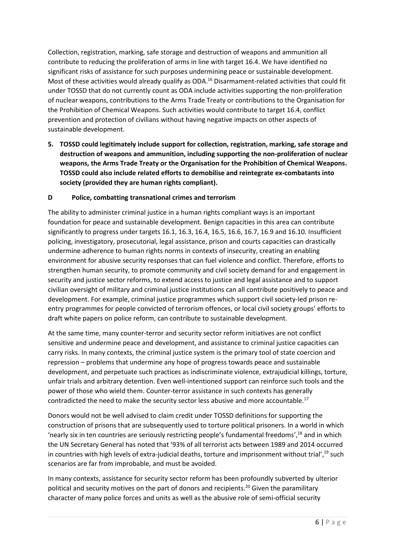Collection, registration, marking, safe storage and destruction of weapons and ammunition all contribute to reducing the proliferation of arms in line with target 16.4. We have identified no significant risks of assistance for such purposes undermining peace or sustainable development. Most of these activities would already qualify as ODA.<sup>16</sup> Disarmament-related activities that could fit under TOSSD that do not currently count as ODA include activities supporting the non-proliferation of nuclear weapons, contributions to the Arms Trade Treaty or contributions to the Organisation for the Prohibition of Chemical Weapons. Such activities would contribute to target 16.4, conflict prevention and protection of civilians without having negative impacts on other aspects of sustainable development.

**5. TOSSD could legitimately include support for collection, registration, marking, safe storage and destruction of weapons and ammunition, including supporting the non-proliferation of nuclear weapons, the Arms Trade Treaty or the Organisation for the Prohibition of Chemical Weapons. TOSSD could also include related efforts to demobilise and reintegrate ex-combatants into society (provided they are human rights compliant).** 

#### **D Police, combatting transnational crimes and terrorism**

The ability to administer criminal justice in a human rights compliant ways is an important foundation for peace and sustainable development. Benign capacities in this area can contribute significantly to progress under targets 16.1, 16.3, 16.4, 16.5, 16.6, 16.7, 16.9 and 16.10. Insufficient policing, investigatory, prosecutorial, legal assistance, prison and courts capacities can drastically undermine adherence to human rights norms in contexts of insecurity, creating an enabling environment for abusive security responses that can fuel violence and conflict. Therefore, efforts to strengthen human security, to promote community and civil society demand for and engagement in security and justice sector reforms, to extend access to justice and legal assistance and to support civilian oversight of military and criminal justice institutions can all contribute positively to peace and development. For example, criminal justice programmes which support civil society-led prison reentry programmes for people convicted of terrorism offences, or local civil society groups' efforts to draft white papers on police reform, can contribute to sustainable development.

At the same time, many counter-terror and security sector reform initiatives are not conflict sensitive and undermine peace and development, and assistance to criminal justice capacities can carry risks. In many contexts, the criminal justice system is the primary tool of state coercion and repression – problems that undermine any hope of progress towards peace and sustainable development, and perpetuate such practices as indiscriminate violence, extrajudicial killings, torture, unfair trials and arbitrary detention. Even well-intentioned support can reinforce such tools and the power of those who wield them. Counter-terror assistance in such contexts has generally contradicted the need to make the security sector less abusive and more accountable.<sup>17</sup>

Donors would not be well advised to claim credit under TOSSD definitions for supporting the construction of prisons that are subsequently used to torture political prisoners. In a world in which 'nearly six in ten countries are seriously restricting people's fundamental freedoms', <sup>18</sup> and in which the UN Secretary General has noted that '93% of all terrorist acts between 1989 and 2014 occurred in countries with high levels of extra-judicial deaths, torture and imprisonment without trial', <sup>19</sup> such scenarios are far from improbable, and must be avoided.

In many contexts, assistance for security sector reform has been profoundly subverted by ulterior political and security motives on the part of donors and recipients.<sup>20</sup> Given the paramilitary character of many police forces and units as well as the abusive role of semi-official security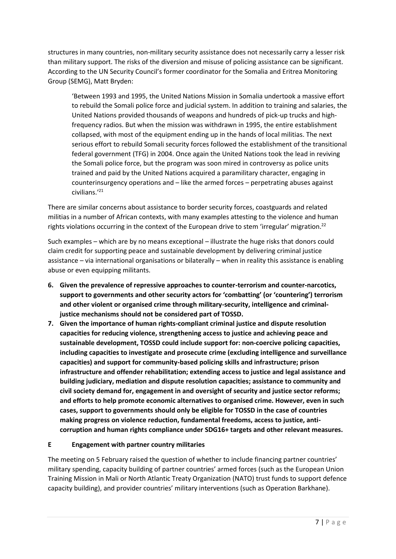structures in many countries, non-military security assistance does not necessarily carry a lesser risk than military support. The risks of the diversion and misuse of policing assistance can be significant. According to the UN Security Council's former coordinator for the Somalia and Eritrea Monitoring Group (SEMG), Matt Bryden:

'Between 1993 and 1995, the United Nations Mission in Somalia undertook a massive effort to rebuild the Somali police force and judicial system. In addition to training and salaries, the United Nations provided thousands of weapons and hundreds of pick-up trucks and highfrequency radios. But when the mission was withdrawn in 1995, the entire establishment collapsed, with most of the equipment ending up in the hands of local militias. The next serious effort to rebuild Somali security forces followed the establishment of the transitional federal government (TFG) in 2004. Once again the United Nations took the lead in reviving the Somali police force, but the program was soon mired in controversy as police units trained and paid by the United Nations acquired a paramilitary character, engaging in counterinsurgency operations and – like the armed forces – perpetrating abuses against civilians.' 21

There are similar concerns about assistance to border security forces, coastguards and related militias in a number of African contexts, with many examples attesting to the violence and human rights violations occurring in the context of the European drive to stem 'irregular' migration.<sup>22</sup>

Such examples – which are by no means exceptional – illustrate the huge risks that donors could claim credit for supporting peace and sustainable development by delivering criminal justice assistance – via international organisations or bilaterally – when in reality this assistance is enabling abuse or even equipping militants.

- **6. Given the prevalence of repressive approaches to counter-terrorism and counter-narcotics, support to governments and other security actors for 'combatting' (or 'countering') terrorism and other violent or organised crime through military-security, intelligence and criminaljustice mechanisms should not be considered part of TOSSD.**
- **7. Given the importance of human rights-compliant criminal justice and dispute resolution capacities for reducing violence, strengthening access to justice and achieving peace and sustainable development, TOSSD could include support for: non-coercive policing capacities, including capacities to investigate and prosecute crime (excluding intelligence and surveillance capacities) and support for community-based policing skills and infrastructure; prison infrastructure and offender rehabilitation; extending access to justice and legal assistance and building judiciary, mediation and dispute resolution capacities; assistance to community and civil society demand for, engagement in and oversight of security and justice sector reforms; and efforts to help promote economic alternatives to organised crime. However, even in such cases, support to governments should only be eligible for TOSSD in the case of countries making progress on violence reduction, fundamental freedoms, access to justice, anticorruption and human rights compliance under SDG16+ targets and other relevant measures.**

#### **E Engagement with partner country militaries**

The meeting on 5 February raised the question of whether to include financing partner countries' military spending, capacity building of partner countries' armed forces (such as the European Union Training Mission in Mali or North Atlantic Treaty Organization (NATO) trust funds to support defence capacity building), and provider countries' military interventions (such as Operation Barkhane).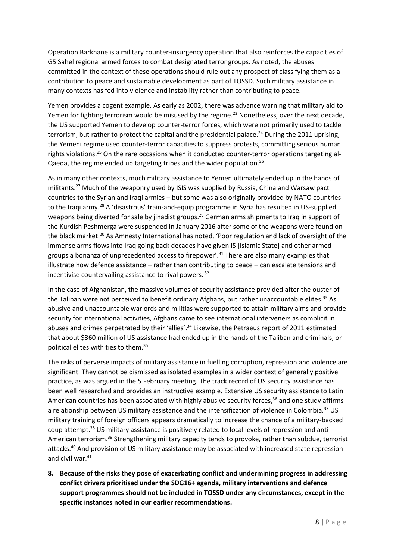Operation Barkhane is a military counter-insurgency operation that also reinforces the capacities of G5 Sahel regional armed forces to combat designated terror groups. As noted, the abuses committed in the context of these operations should rule out any prospect of classifying them as a contribution to peace and sustainable development as part of TOSSD. Such military assistance in many contexts has fed into violence and instability rather than contributing to peace.

Yemen provides a cogent example. As early as 2002, there was advance warning that military aid to Yemen for fighting terrorism would be misused by the regime.<sup>23</sup> Nonetheless, over the next decade, the US supported Yemen to develop counter-terror forces, which were not primarily used to tackle terrorism, but rather to protect the capital and the presidential palace.<sup>24</sup> During the 2011 uprising, the Yemeni regime used counter-terror capacities to suppress protests, committing serious human rights violations.<sup>25</sup> On the rare occasions when it conducted counter-terror operations targeting al-Qaeda, the regime ended up targeting tribes and the wider population.<sup>26</sup>

As in many other contexts, much military assistance to Yemen ultimately ended up in the hands of militants.<sup>27</sup> Much of the weaponry used by ISIS was supplied by Russia, China and Warsaw pact countries to the Syrian and Iraqi armies – but some was also originally provided by NATO countries to the Iraqi army.<sup>28</sup> A 'disastrous' train-and-equip programme in Syria has resulted in US-supplied weapons being diverted for sale by jihadist groups.<sup>29</sup> German arms shipments to Iraq in support of the Kurdish Peshmerga were suspended in January 2016 after some of the weapons were found on the black market.<sup>30</sup> As Amnesty International has noted, 'Poor regulation and lack of oversight of the immense arms flows into Iraq going back decades have given IS [Islamic State] and other armed groups a bonanza of unprecedented access to firepower'.<sup>31</sup> There are also many examples that illustrate how defence assistance – rather than contributing to peace – can escalate tensions and incentivise countervailing assistance to rival powers. <sup>32</sup>

In the case of Afghanistan, the massive volumes of security assistance provided after the ouster of the Taliban were not perceived to benefit ordinary Afghans, but rather unaccountable elites.<sup>33</sup> As abusive and unaccountable warlords and militias were supported to attain military aims and provide security for international activities, Afghans came to see international interveners as complicit in abuses and crimes perpetrated by their 'allies'.<sup>34</sup> Likewise, the Petraeus report of 2011 estimated that about \$360 million of US assistance had ended up in the hands of the Taliban and criminals, or political elites with ties to them. 35

The risks of perverse impacts of military assistance in fuelling corruption, repression and violence are significant. They cannot be dismissed as isolated examples in a wider context of generally positive practice, as was argued in the 5 February meeting. The track record of US security assistance has been well researched and provides an instructive example. Extensive US security assistance to Latin American countries has been associated with highly abusive security forces,<sup>36</sup> and one study affirms a relationship between US military assistance and the intensification of violence in Colombia.<sup>37</sup> US military training of foreign officers appears dramatically to increase the chance of a military-backed coup attempt.<sup>38</sup> US military assistance is positively related to local levels of repression and anti-American terrorism.<sup>39</sup> Strengthening military capacity tends to provoke, rather than subdue, terrorist attacks.<sup>40</sup> And provision of US military assistance may be associated with increased state repression and civil war.<sup>41</sup>

**8. Because of the risks they pose of exacerbating conflict and undermining progress in addressing conflict drivers prioritised under the SDG16+ agenda, military interventions and defence support programmes should not be included in TOSSD under any circumstances, except in the specific instances noted in our earlier recommendations.**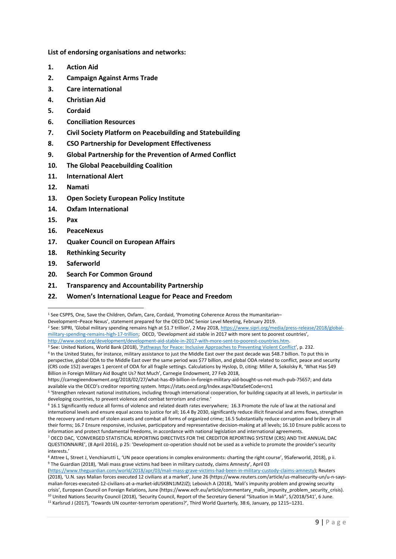**List of endorsing organisations and networks:** 

- **1. Action Aid**
- **2. Campaign Against Arms Trade**
- **3. Care international**
- **4. Christian Aid**
- **5. Cordaid**
- **6. Conciliation Resources**
- **7. Civil Society Platform on Peacebuilding and Statebuilding**
- **8. CSO Partnership for Development Effectiveness**
- **9. Global Partnership for the Prevention of Armed Conflict**
- **10. The Global Peacebuilding Coalition**
- **11. International Alert**
- **12. Namati**
- **13. Open Society European Policy Institute**
- **14. Oxfam International**
- **15. Pax**

1

- **16. PeaceNexus**
- **17. Quaker Council on European Affairs**
- **18. Rethinking Security**
- **19. Saferworld**
- **20. Search For Common Ground**
- **21. Transparency and Accountability Partnership**
- **22. Women's International League for Peace and Freedom**

Development–Peace Nexus', statement prepared for the OECD DAC Senior Level Meeting, February 2019.

<sup>1</sup> See CSPPS, One, Save the Children, Oxfam, Care, Cordaid, 'Promoting Coherence Across the Humanitarian–

<sup>2</sup> See: SIPRI, 'Global military spending remains high at \$1.7 trillion', 2 May 2018, [https://www.sipri.org/media/press-release/2018/global](https://www.sipri.org/media/press-release/2018/global-military-spending-remains-high-17-trillion)[military-spending-remains-high-17-trillion](https://www.sipri.org/media/press-release/2018/global-military-spending-remains-high-17-trillion); OECD, 'Development aid stable in 2017 with more sent to poorest countries', [http://www.oecd.org/development/development-aid-stable-in-2017-with-more-sent-to-poorest-countries.htm.](http://www.oecd.org/development/development-aid-stable-in-2017-with-more-sent-to-poorest-countries.htm) 

<sup>3</sup> See: United Nations, World Bank (2018)[, 'Pathways for Peace: Inclusive Approaches to Preventing Violent Conflict](https://openknowledge.worldbank.org/handle/10986/28337)', p. 232. 4 In the United States, for instance, military assistance to just the Middle East over the past decade was \$48.7 billion. To put this in perspective, global ODA to the Middle East over the same period was \$77 billion, and global ODA related to conflict, peace and security (CRS code 152) averages 1 percent of ODA for all fragile settings. Calculations by Hyslop, D, citing: Miller A, Sokolsky R, 'What Has \$49 Billion in Foreign Military Aid Bought Us? Not Much', Carnegie Endowment, 27 Feb 2018,

https://carnegieendowment.org/2018/02/27/what-has-49-billion-in-foreign-military-aid-bought-us-not-much-pub-75657; and data available via the OECD's creditor reporting system. https://stats.oecd.org/Index.aspx?DataSetCode=crs1

<sup>5</sup> 'Strengthen relevant national institutions, including through international cooperation, for building capacity at all levels, in particular in developing countries, to prevent violence and combat terrorism and crime.'

<sup>6</sup> 16.1 Significantly reduce all forms of violence and related death rates everywhere; 16.3 Promote the rule of law at the national and international levels and ensure equal access to justice for all; 16.4 By 2030, significantly reduce illicit financial and arms flows, strengthen the recovery and return of stolen assets and combat all forms of organized crime; 16.5 Substantially reduce corruption and bribery in all their forms; 16.7 Ensure responsive, inclusive, participatory and representative decision-making at all levels; 16.10 Ensure public access to information and protect fundamental freedoms, in accordance with national legislation and international agreements.

<sup>7</sup> OECD DAC, 'CONVERGED STATISTICAL REPORTING DIRECTIVES FOR THE CREDITOR REPORTING SYSTEM (CRS) AND THE ANNUAL DAC QUESTIONNAIRE', (8 April 2016), p 25: 'Development co-operation should not be used as a vehicle to promote the provider's security interests.'

<sup>8</sup> Attree L, Street J, Venchiarutti L, 'UN peace operations in complex environments: charting the right course', 9Saferworld, 2018), p ii. <sup>9</sup> The Guardian (2018), 'Mali mass grave victims had been in military custody, claims Amnesty', April 03

[<sup>\(</sup>https://www.theguardian.com/world/2018/apr/03/mali-mass-grave-victims-had-been-in-military-custody-claims-amnesty\)](https://www.theguardian.com/world/2018/apr/03/mali-mass-grave-victims-had-been-in-military-custody-claims-amnesty); Reuters (2018), 'U.N. says Malian forces executed 12 civilians at a market', June 26 (https://www.reuters.com/article/us-malisecurity-un/u-n-saysmalian-forces-executed-12-civilians-at-a-market-idUSKBN1JM2JZ); Lebovich A (2018), 'Mali's impunity problem and growing security crisis', European Council on Foreign Relations, June (https://www.ecfr.eu/article/commentary\_malis\_impunity\_problem\_security\_crisis). <sup>10</sup> United Nations Security Council (2018), 'Security Council, Report of the Secretary General "Situation in Mali", S/2018/541', 6 June.

<sup>11</sup> Karlsrud J (2017), 'Towards UN counter-terrorism operations?', Third World Quarterly, 38:6, January, pp 1215–1231.